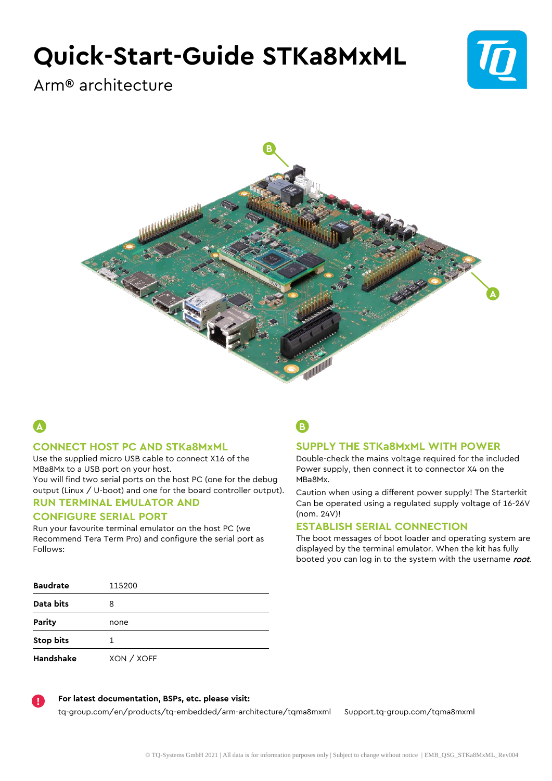# **Quick-Start-Guide STKa8MxML**



Arm® architecture



# **A**

#### **CONNECT HOST PC AND STKa8MxML**

Use the supplied micro USB cable to connect X16 of the MBa8Mx to a USB port on your host.

You will find two serial ports on the host PC (one for the debug output (Linux / U-boot) and one for the board controller output).

## **RUN TERMINAL EMULATOR AND**

### **CONFIGURE SERIAL PORT**

Run your favourite terminal emulator on the host PC (we Recommend Tera Term Pro) and configure the serial port as Follows:

### **Baudrate** 115200 **Data bits** 8 **Parity** none **Stop bits** 1 **Handshake** XON / XOFF

**B**

#### **SUPPLY THE STKa8MxML WITH POWER**

Double-check the mains voltage required for the included Power supply, then connect it to connector X4 on the MBa8Mx.

Caution when using a different power supply! The Starterkit Can be operated using a regulated supply voltage of 16-26V (nom. 24V)!

#### **ESTABLISH SERIAL CONNECTION**

The boot messages of boot loader and operating system are displayed by the terminal emulator. When the kit has fully booted you can log in to the system with the username root.



#### **For latest documentation, BSPs, etc. please visit:**

[tq-group.com/en/products/tq-embedded/arm-architecture/tqma8mxml](https://www.tq-group.com/en/products/tq-embedded/arm-architecture/tqma8mxml/) [Support.tq-group.com/tqma8mxml](https://support.tq-group.com/tqma8mxml)